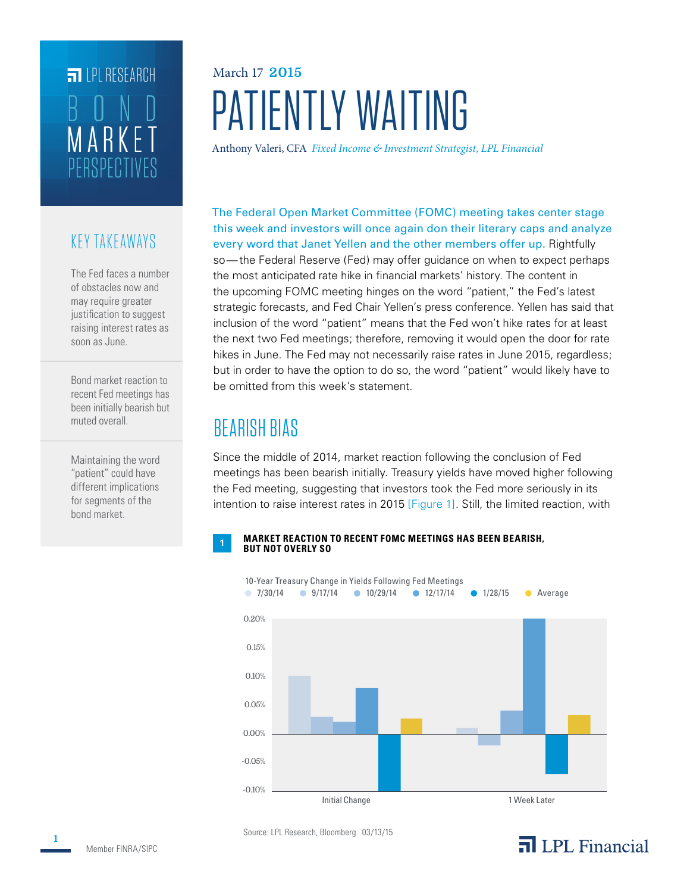## **FILLE** LPL RESEARCH PERSPECTIVES MARKET MARKET BOND

#### KEY TAKEAWAYS

The Fed faces a number of obstacles now and may require greater justification to suggest raising interest rates as soon as June.

Bond market reaction to recent Fed meetings has been initially bearish but muted overall.

Maintaining the word "patient" could have different implications for segments of the bond market.

# PATIENTLY WAITING March 17 **2015**

Anthony Valeri, CFA *Fixed Income & Investment Strategist, LPL Financial*

The Federal Open Market Committee (FOMC) meeting takes center stage this week and investors will once again don their literary caps and analyze every word that Janet Yellen and the other members offer up. Rightfully so—the Federal Reserve (Fed) may offer guidance on when to expect perhaps the most anticipated rate hike in financial markets' history. The content in the upcoming FOMC meeting hinges on the word "patient," the Fed's latest strategic forecasts, and Fed Chair Yellen's press conference. Yellen has said that inclusion of the word "patient" means that the Fed won't hike rates for at least the next two Fed meetings; therefore, removing it would open the door for rate hikes in June. The Fed may not necessarily raise rates in June 2015, regardless; but in order to have the option to do so, the word "patient" would likely have to be omitted from this week's statement.

### BEARISH BIAS

Since the middle of 2014, market reaction following the conclusion of Fed meetings has been bearish initially. Treasury yields have moved higher following the Fed meeting, suggesting that investors took the Fed more seriously in its intention to raise interest rates in 2015 [Figure 1]. Still, the limited reaction, with

#### **<sup>1</sup> MARKET REACTION TO RECENT FOMC MEETINGS HAS BEEN BEARISH, BUT NOT OVERLY SO**





**1**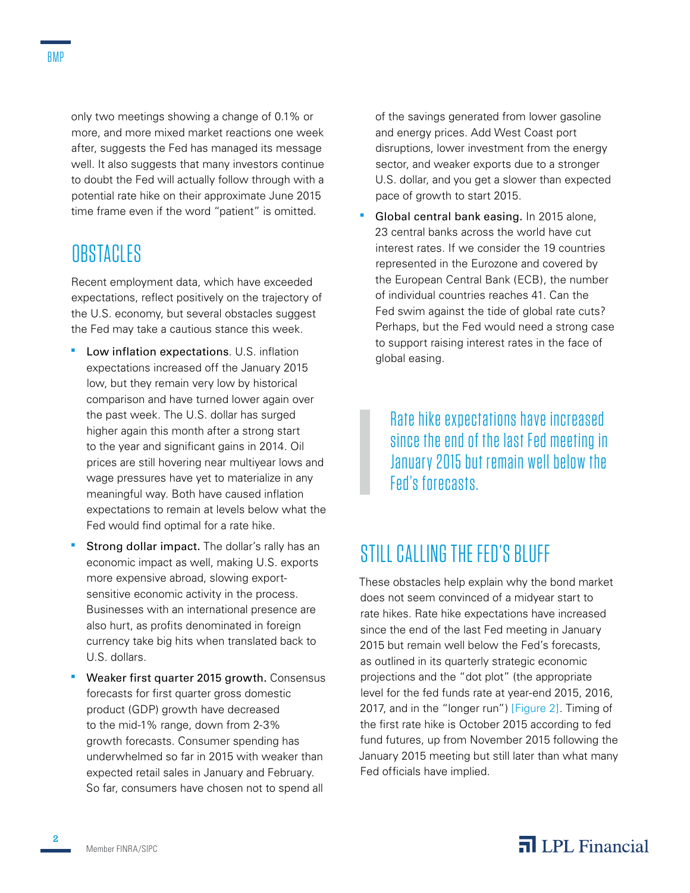only two meetings showing a change of 0.1% or more, and more mixed market reactions one week after, suggests the Fed has managed its message well. It also suggests that many investors continue to doubt the Fed will actually follow through with a potential rate hike on their approximate June 2015 time frame even if the word "patient" is omitted.

### **OBSTACLES**

Recent employment data, which have exceeded expectations, reflect positively on the trajectory of the U.S. economy, but several obstacles suggest the Fed may take a cautious stance this week.

- **Low inflation expectations. U.S. inflation** expectations increased off the January 2015 low, but they remain very low by historical comparison and have turned lower again over the past week. The U.S. dollar has surged higher again this month after a strong start to the year and significant gains in 2014. Oil prices are still hovering near multiyear lows and wage pressures have yet to materialize in any meaningful way. Both have caused inflation expectations to remain at levels below what the Fed would find optimal for a rate hike.
- Strong dollar impact. The dollar's rally has an economic impact as well, making U.S. exports more expensive abroad, slowing exportsensitive economic activity in the process. Businesses with an international presence are also hurt, as profits denominated in foreign currency take big hits when translated back to U.S. dollars.
- Weaker first quarter 2015 growth. Consensus forecasts for first quarter gross domestic product (GDP) growth have decreased to the mid-1% range, down from 2-3% growth forecasts. Consumer spending has underwhelmed so far in 2015 with weaker than expected retail sales in January and February. So far, consumers have chosen not to spend all

of the savings generated from lower gasoline and energy prices. Add West Coast port disruptions, lower investment from the energy sector, and weaker exports due to a stronger U.S. dollar, and you get a slower than expected pace of growth to start 2015.

§ Global central bank easing. In 2015 alone, 23 central banks across the world have cut interest rates. If we consider the 19 countries represented in the Eurozone and covered by the European Central Bank (ECB), the number of individual countries reaches 41. Can the Fed swim against the tide of global rate cuts? Perhaps, but the Fed would need a strong case to support raising interest rates in the face of global easing.

Rate hike expectations have increased since the end of the last Fed meeting in January 2015 but remain well below the Fed's forecasts.

### STILL CALLING THE FED'S BLUFF

These obstacles help explain why the bond market does not seem convinced of a midyear start to rate hikes. Rate hike expectations have increased since the end of the last Fed meeting in January 2015 but remain well below the Fed's forecasts, as outlined in its quarterly strategic economic projections and the "dot plot" (the appropriate level for the fed funds rate at year-end 2015, 2016, 2017, and in the "longer run") [Figure 2]. Timing of the first rate hike is October 2015 according to fed fund futures, up from November 2015 following the January 2015 meeting but still later than what many Fed officials have implied.

**2**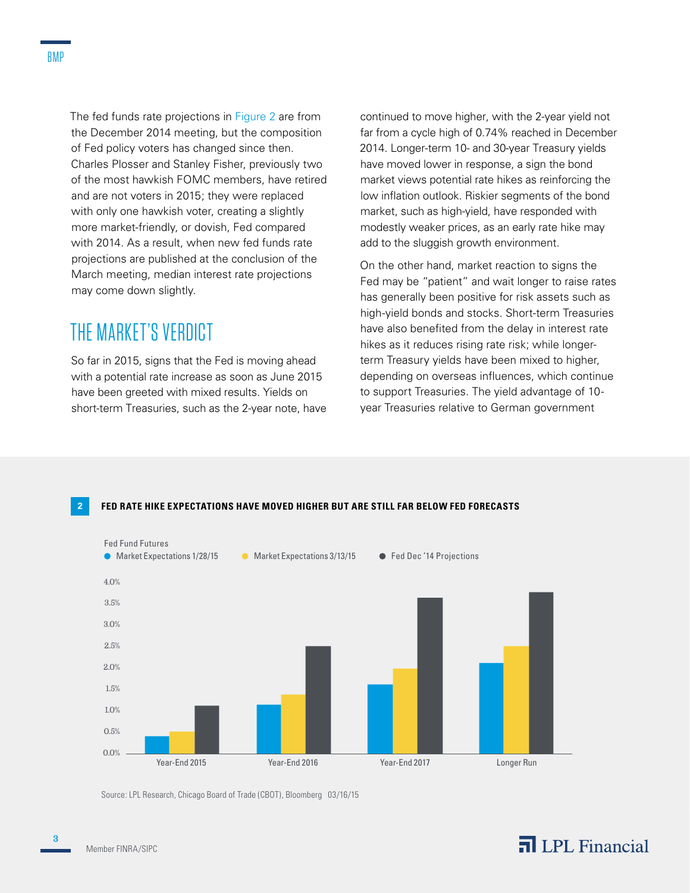The fed funds rate projections in Figure 2 are from the December 2014 meeting, but the composition of Fed policy voters has changed since then. Charles Plosser and Stanley Fisher, previously two of the most hawkish FOMC members, have retired and are not voters in 2015; they were replaced with only one hawkish voter, creating a slightly more market-friendly, or dovish, Fed compared with 2014. As a result, when new fed funds rate projections are published at the conclusion of the March meeting, median interest rate projections may come down slightly.

### THE MARKET'S VERDICT

So far in 2015, signs that the Fed is moving ahead with a potential rate increase as soon as June 2015 have been greeted with mixed results. Yields on short-term Treasuries, such as the 2-year note, have

continued to move higher, with the 2-year yield not far from a cycle high of 0.74% reached in December 2014. Longer-term 10- and 30-year Treasury yields have moved lower in response, a sign the bond market views potential rate hikes as reinforcing the low inflation outlook. Riskier segments of the bond market, such as high-yield, have responded with modestly weaker prices, as an early rate hike may add to the sluggish growth environment.

On the other hand, market reaction to signs the Fed may be "patient" and wait longer to raise rates has generally been positive for risk assets such as high-yield bonds and stocks. Short-term Treasuries have also benefited from the delay in interest rate hikes as it reduces rising rate risk; while longerterm Treasury yields have been mixed to higher, depending on overseas influences, which continue to support Treasuries. The yield advantage of 10 year Treasuries relative to German government

#### **2 FED RATE HIKE EXPECTATIONS HAVE MOVED HIGHER BUT ARE STILL FAR BELOW FED FORECASTS**



Source: LPL Research, Chicago Board of Trade (CBOT), Bloomberg 03/16/15